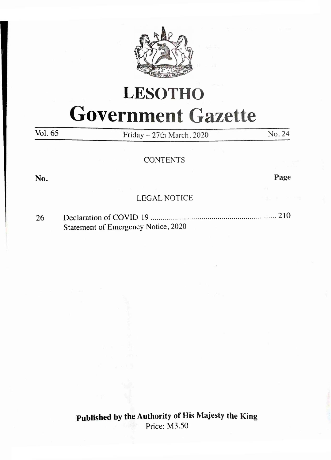

# **LESOTHO Government Gazette**

Vol. 65 **Friday - 27th March, 2020** No. 24

#### **CONTENTS**

**No. Page**

### LEGAL NOTICE

26 Declaration of COVID-19................................................................... 210 Statement of Emergency Notice, 2020

> **Published by the Authority of His Majesty the King** Price: M3.50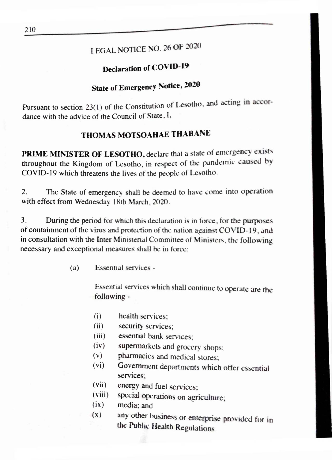# LEGAL NOTICE NO. 26 OF 2020

# **Declaration of COV ID-19**

# **State of Emergency Notice. 2020**

Pursuant to section 23(1) of the Constitution of Lesotho, and acting in accordance with the advice of the Council of State. I.

# **THOMAS MOTSOAHAE THABANE**

**PRIME MINISTER OF LESOTHO,** declare that a state of emergency exists throughout the Kingdom of Lesotho, in respect of the pandemic caused bv COVID-19 which threatens the lives of the people of Lesotho.

2. The State of emergency shall be deemed to have come into operation with effect from Wednesday 18th March. 2020.

3. During the period for which this declaration is in force, for the purposes of containment of the virus and protection of the nation against COVID-19, and in consultation with the Inter Ministerial Committee of Ministers, the following necessary and exceptional measures shall be in force:

(a) Essential services -

Essential services which shall continue to operate are the following -

- (i) health services;
- (ii) security services;
- (iii) essential bank services;
- (iv) supermarkets and grocery shops;
- (v) pharmacies and medical stores;
- (vi) Government departments which offer essential services;
- (vii) energy and fuel services;
- (viii) special operations on agriculture;
- (ix) media; and
- (x) any other business or enterprise provided for in the Public Health Regulations.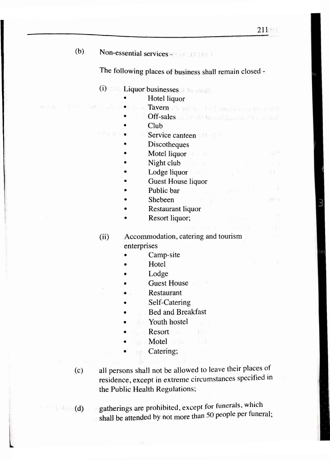イボデータ

(b) Non-essential services  $-1$  1/10

The following places of business shall remain closed -

# (i) Liquor businesses

- Hotel liquor
- Tavern all added and the terminal
- Off-sales and a settle south son die sound
- Club
- Service canteen
- **Discotheques**
- Motel liquor
- Night club
- Lodge liquor
- Guest House liquor
- Public bar
- Shebeen
- Restaurant liquor
- Resort liquor;

### (ii) Accommodation, catering and tourism enterprises

- Camp-site
- Hotel
- Lodge
- Guest House
- **Restaurant**
- Self-Catering
- Bed and Breakfast
- Youth hostel
- Resort and the second service of the Resort
- Motel and Motel and Taylor and Taylor and Taylor and Taylor and Taylor and Taylor and Taylor and Taylor and Taylor and Taylor and Taylor and Taylor and Taylor and Taylor and Taylor and Taylor and Taylor and Taylor and Tayl
- Catering;
- (c) all persons shall not be allowed to leave their places of residence, except in extreme circumstances specified in the Public Health Regulations;

**TIP** 不注

**(d)** gatherings are prohibited, except for funerals, which shall be attended by not more than 50 people per funeral;